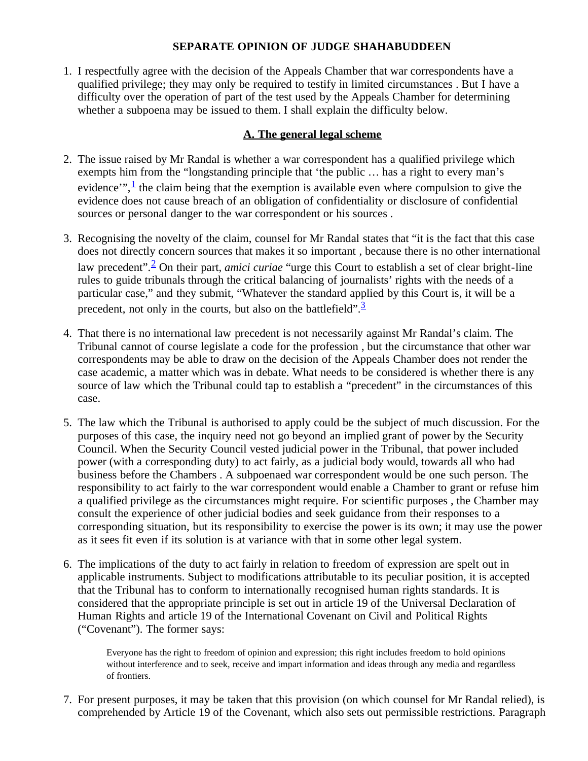#### **SEPARATE OPINION OF JUDGE SHAHABUDDEEN**

1. I respectfully agree with the decision of the Appeals Chamber that war correspondents have a qualified privilege; they may only be required to testify in limited circumstances . But I have a difficulty over the operation of part of the test used by the Appeals Chamber for determining whether a subpoena may be issued to them. I shall explain the difficulty below.

## **A. The general legal scheme**

- 2. The issue raised by Mr Randal is whether a war correspondent has a qualified privilege which exempts him from the "longstanding principle that 'the public … has a right to every man's evidence"<sup>", 1</sup> the claim being that the exemption is available even where compulsion to give the evidence does not cause breach of an obligation of confidentiality or disclosure of confidential sources or personal danger to the war correspondent or his sources .
- 3. Recognising the novelty of the claim, counsel for Mr Randal states that "it is the fact that this case does not directly concern sources that makes it so important , because there is no other international law precedent".[2](#page-6-1) On their part, *amici curiae* "urge this Court to establish a set of clear bright-line rules to guide tribunals through the critical balancing of journalists' rights with the needs of a particular case," and they submit, "Whatever the standard applied by this Court is, it will be a precedent, not only in the courts, but also on the battlefield". $\frac{3}{2}$  $\frac{3}{2}$  $\frac{3}{2}$
- 4. That there is no international law precedent is not necessarily against Mr Randal's claim. The Tribunal cannot of course legislate a code for the profession , but the circumstance that other war correspondents may be able to draw on the decision of the Appeals Chamber does not render the case academic, a matter which was in debate. What needs to be considered is whether there is any source of law which the Tribunal could tap to establish a "precedent" in the circumstances of this case.
- 5. The law which the Tribunal is authorised to apply could be the subject of much discussion. For the purposes of this case, the inquiry need not go beyond an implied grant of power by the Security Council. When the Security Council vested judicial power in the Tribunal, that power included power (with a corresponding duty) to act fairly, as a judicial body would, towards all who had business before the Chambers . A subpoenaed war correspondent would be one such person. The responsibility to act fairly to the war correspondent would enable a Chamber to grant or refuse him a qualified privilege as the circumstances might require. For scientific purposes , the Chamber may consult the experience of other judicial bodies and seek guidance from their responses to a corresponding situation, but its responsibility to exercise the power is its own; it may use the power as it sees fit even if its solution is at variance with that in some other legal system.
- 6. The implications of the duty to act fairly in relation to freedom of expression are spelt out in applicable instruments. Subject to modifications attributable to its peculiar position, it is accepted that the Tribunal has to conform to internationally recognised human rights standards. It is considered that the appropriate principle is set out in article 19 of the Universal Declaration of Human Rights and article 19 of the International Covenant on Civil and Political Rights ("Covenant"). The former says:

Everyone has the right to freedom of opinion and expression; this right includes freedom to hold opinions without interference and to seek, receive and impart information and ideas through any media and regardless of frontiers.

7. For present purposes, it may be taken that this provision (on which counsel for Mr Randal relied), is comprehended by Article 19 of the Covenant, which also sets out permissible restrictions. Paragraph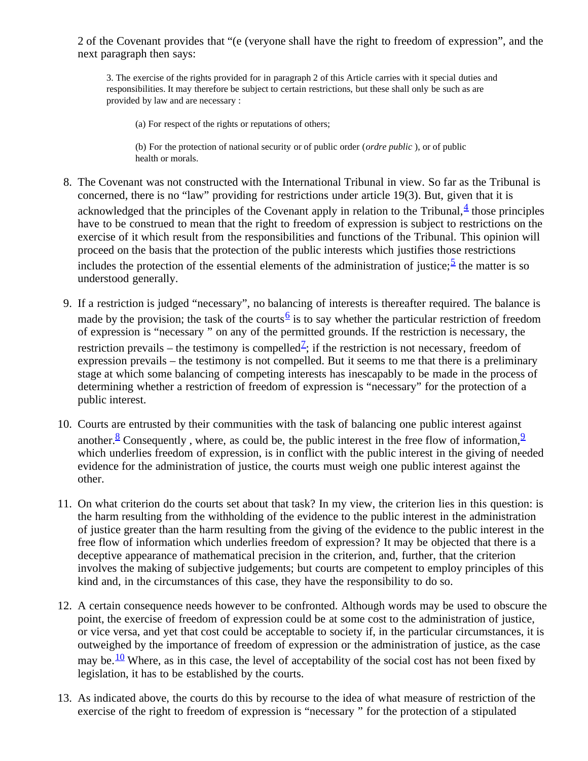2 of the Covenant provides that "(e (veryone shall have the right to freedom of expression", and the next paragraph then says:

3. The exercise of the rights provided for in paragraph 2 of this Article carries with it special duties and responsibilities. It may therefore be subject to certain restrictions, but these shall only be such as are provided by law and are necessary :

(a) For respect of the rights or reputations of others;

(b) For the protection of national security or of public order (*ordre public* ), or of public health or morals.

- 8. The Covenant was not constructed with the International Tribunal in view. So far as the Tribunal is concerned, there is no "law" providing for restrictions under article 19(3). But, given that it is acknowledged that the principles of the Covenant apply in relation to the Tribunal,  $\frac{4}{3}$  $\frac{4}{3}$  $\frac{4}{3}$  those principles have to be construed to mean that the right to freedom of expression is subject to restrictions on the exercise of it which result from the responsibilities and functions of the Tribunal. This opinion will proceed on the basis that the protection of the public interests which justifies those restrictions includes the protection of the essential elements of the administration of justice;  $\frac{5}{5}$  the matter is so understood generally.
- 9. If a restriction is judged "necessary", no balancing of interests is thereafter required. The balance is made by the provision; the task of the courts<sup>[6](#page-6-5)</sup> is to say whether the particular restriction of freedom of expression is "necessary " on any of the permitted grounds. If the restriction is necessary, the restriction prevails – the testimony is compelled<sup> $2$ </sup>; if the restriction is not necessary, freedom of expression prevails – the testimony is not compelled. But it seems to me that there is a preliminary stage at which some balancing of competing interests has inescapably to be made in the process of determining whether a restriction of freedom of expression is "necessary" for the protection of a public interest.
- 10. Courts are entrusted by their communities with the task of balancing one public interest against another.<sup>[8](#page-7-0)</sup> Consequently, where, as could be, the public interest in the free flow of information,  $\frac{9}{2}$  $\frac{9}{2}$  $\frac{9}{2}$ which underlies freedom of expression, is in conflict with the public interest in the giving of needed evidence for the administration of justice, the courts must weigh one public interest against the other.
- 11. On what criterion do the courts set about that task? In my view, the criterion lies in this question: is the harm resulting from the withholding of the evidence to the public interest in the administration of justice greater than the harm resulting from the giving of the evidence to the public interest in the free flow of information which underlies freedom of expression? It may be objected that there is a deceptive appearance of mathematical precision in the criterion, and, further, that the criterion involves the making of subjective judgements; but courts are competent to employ principles of this kind and, in the circumstances of this case, they have the responsibility to do so.
- 12. A certain consequence needs however to be confronted. Although words may be used to obscure the point, the exercise of freedom of expression could be at some cost to the administration of justice, or vice versa, and yet that cost could be acceptable to society if, in the particular circumstances, it is outweighed by the importance of freedom of expression or the administration of justice, as the case may be.<sup>10</sup> Where, as in this case, the level of acceptability of the social cost has not been fixed by legislation, it has to be established by the courts.
- 13. As indicated above, the courts do this by recourse to the idea of what measure of restriction of the exercise of the right to freedom of expression is "necessary " for the protection of a stipulated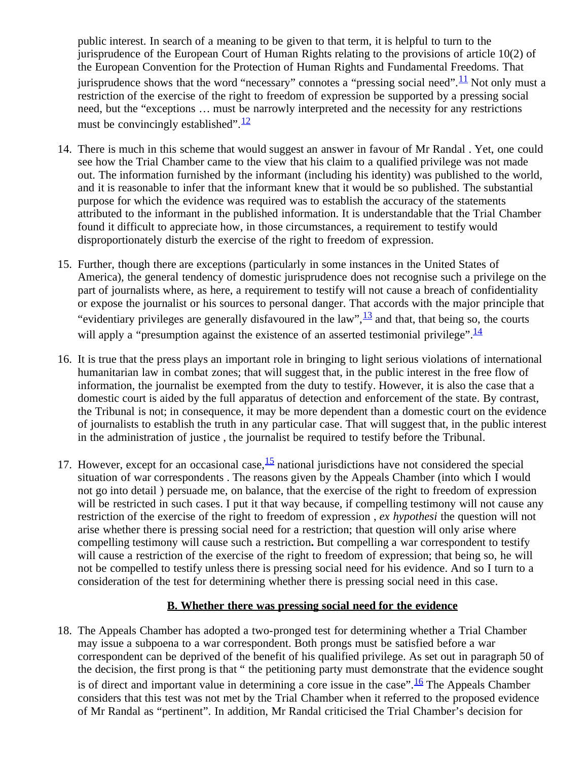public interest. In search of a meaning to be given to that term, it is helpful to turn to the jurisprudence of the European Court of Human Rights relating to the provisions of article 10(2) of the European Convention for the Protection of Human Rights and Fundamental Freedoms. That jurisprudence shows that the word "necessary" connotes a "pressing social need".  $\frac{11}{11}$  Not only must a restriction of the exercise of the right to freedom of expression be supported by a pressing social need, but the "exceptions … must be narrowly interpreted and the necessity for any restrictions must be convincingly established".  $\frac{12}{1}$  $\frac{12}{1}$  $\frac{12}{1}$ 

- 14. There is much in this scheme that would suggest an answer in favour of Mr Randal . Yet, one could see how the Trial Chamber came to the view that his claim to a qualified privilege was not made out. The information furnished by the informant (including his identity) was published to the world, and it is reasonable to infer that the informant knew that it would be so published. The substantial purpose for which the evidence was required was to establish the accuracy of the statements attributed to the informant in the published information. It is understandable that the Trial Chamber found it difficult to appreciate how, in those circumstances, a requirement to testify would disproportionately disturb the exercise of the right to freedom of expression.
- 15. Further, though there are exceptions (particularly in some instances in the United States of America), the general tendency of domestic jurisprudence does not recognise such a privilege on the part of journalists where, as here, a requirement to testify will not cause a breach of confidentiality or expose the journalist or his sources to personal danger. That accords with the major principle that "evidentiary privileges are generally disfavoured in the law",  $\frac{13}{12}$  and that, that being so, the courts will apply a "presumption against the existence of an asserted testimonial privilege".  $\frac{14}{1}$  $\frac{14}{1}$  $\frac{14}{1}$
- 16. It is true that the press plays an important role in bringing to light serious violations of international humanitarian law in combat zones; that will suggest that, in the public interest in the free flow of information, the journalist be exempted from the duty to testify. However, it is also the case that a domestic court is aided by the full apparatus of detection and enforcement of the state. By contrast, the Tribunal is not; in consequence, it may be more dependent than a domestic court on the evidence of journalists to establish the truth in any particular case. That will suggest that, in the public interest in the administration of justice , the journalist be required to testify before the Tribunal.
- 17. However, except for an occasional case,  $\frac{15}{2}$  national jurisdictions have not considered the special situation of war correspondents . The reasons given by the Appeals Chamber (into which I would not go into detail ) persuade me, on balance, that the exercise of the right to freedom of expression will be restricted in such cases. I put it that way because, if compelling testimony will not cause any restriction of the exercise of the right to freedom of expression , *ex hypothesi* the question will not arise whether there is pressing social need for a restriction; that question will only arise where compelling testimony will cause such a restriction**.** But compelling a war correspondent to testify will cause a restriction of the exercise of the right to freedom of expression; that being so, he will not be compelled to testify unless there is pressing social need for his evidence. And so I turn to a consideration of the test for determining whether there is pressing social need in this case.

## **B. Whether there was pressing social need for the evidence**

18. The Appeals Chamber has adopted a two-pronged test for determining whether a Trial Chamber may issue a subpoena to a war correspondent. Both prongs must be satisfied before a war correspondent can be deprived of the benefit of his qualified privilege. As set out in paragraph 50 of the decision, the first prong is that " the petitioning party must demonstrate that the evidence sought is of direct and important value in determining a core issue in the case".  $\frac{16}{16}$  $\frac{16}{16}$  $\frac{16}{16}$  The Appeals Chamber considers that this test was not met by the Trial Chamber when it referred to the proposed evidence of Mr Randal as "pertinent". In addition, Mr Randal criticised the Trial Chamber's decision for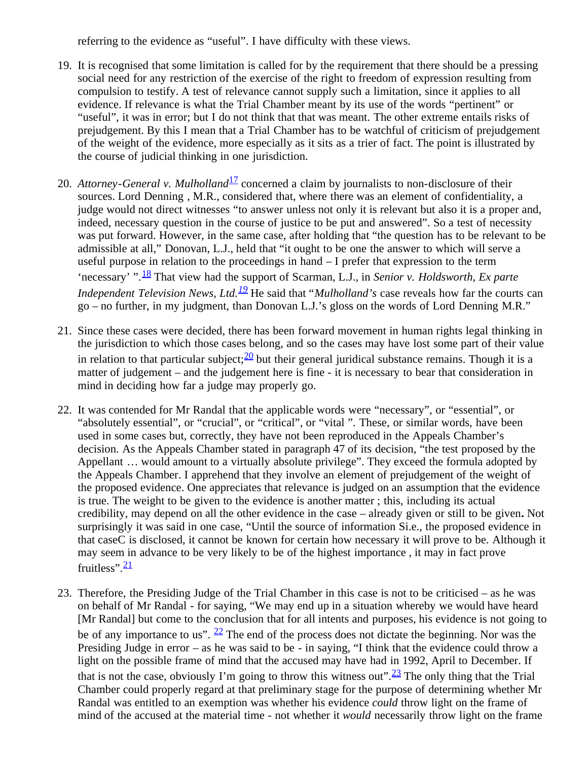referring to the evidence as "useful". I have difficulty with these views.

- 19. It is recognised that some limitation is called for by the requirement that there should be a pressing social need for any restriction of the exercise of the right to freedom of expression resulting from compulsion to testify. A test of relevance cannot supply such a limitation, since it applies to all evidence. If relevance is what the Trial Chamber meant by its use of the words "pertinent" or "useful", it was in error; but I do not think that that was meant. The other extreme entails risks of prejudgement. By this I mean that a Trial Chamber has to be watchful of criticism of prejudgement of the weight of the evidence, more especially as it sits as a trier of fact. The point is illustrated by the course of judicial thinking in one jurisdiction.
- 20. *Attorney-General v. Mulholland*<sup>17</sup> concerned a claim by journalists to non-disclosure of their sources. Lord Denning , M.R., considered that, where there was an element of confidentiality, a judge would not direct witnesses "to answer unless not only it is relevant but also it is a proper and, indeed, necessary question in the course of justice to be put and answered". So a test of necessity was put forward. However, in the same case, after holding that "the question has to be relevant to be admissible at all," Donovan, L.J., held that "it ought to be one the answer to which will serve a useful purpose in relation to the proceedings in hand – I prefer that expression to the term 'necessary' ".[18](#page-7-10) That view had the support of Scarman, L.J., in *Senior v. Holdsworth, Ex parte Independent Television News, Ltd.*<sup>[19](#page-7-11)</sup> He said that "*Mulholland*'s case reveals how far the courts can go – no further, in my judgment, than Donovan L.J.'s gloss on the words of Lord Denning M.R."
- 21. Since these cases were decided, there has been forward movement in human rights legal thinking in the jurisdiction to which those cases belong, and so the cases may have lost some part of their value in relation to that particular subject;  $\frac{20}{20}$  $\frac{20}{20}$  $\frac{20}{20}$  but their general juridical substance remains. Though it is a matter of judgement – and the judgement here is fine - it is necessary to bear that consideration in mind in deciding how far a judge may properly go.
- 22. It was contended for Mr Randal that the applicable words were "necessary", or "essential", or "absolutely essential", or "crucial", or "critical", or "vital ". These, or similar words, have been used in some cases but, correctly, they have not been reproduced in the Appeals Chamber's decision. As the Appeals Chamber stated in paragraph 47 of its decision, "the test proposed by the Appellant … would amount to a virtually absolute privilege". They exceed the formula adopted by the Appeals Chamber. I apprehend that they involve an element of prejudgement of the weight of the proposed evidence. One appreciates that relevance is judged on an assumption that the evidence is true. The weight to be given to the evidence is another matter ; this, including its actual credibility, may depend on all the other evidence in the case – already given or still to be given**.** Not surprisingly it was said in one case, "Until the source of information Si.e., the proposed evidence in that caseC is disclosed, it cannot be known for certain how necessary it will prove to be. Although it may seem in advance to be very likely to be of the highest importance , it may in fact prove fruitless".  $\frac{21}{2}$  $\frac{21}{2}$  $\frac{21}{2}$
- 23. Therefore, the Presiding Judge of the Trial Chamber in this case is not to be criticised as he was on behalf of Mr Randal - for saying, "We may end up in a situation whereby we would have heard [Mr Randal] but come to the conclusion that for all intents and purposes, his evidence is not going to be of any importance to us".  $\frac{22}{2}$  The end of the process does not dictate the beginning. Nor was the Presiding Judge in error – as he was said to be - in saying, "I think that the evidence could throw a light on the possible frame of mind that the accused may have had in 1992, April to December. If that is not the case, obviously I'm going to throw this witness out".  $\frac{23}{7}$  The only thing that the Trial Chamber could properly regard at that preliminary stage for the purpose of determining whether Mr Randal was entitled to an exemption was whether his evidence *could* throw light on the frame of mind of the accused at the material time - not whether it *would* necessarily throw light on the frame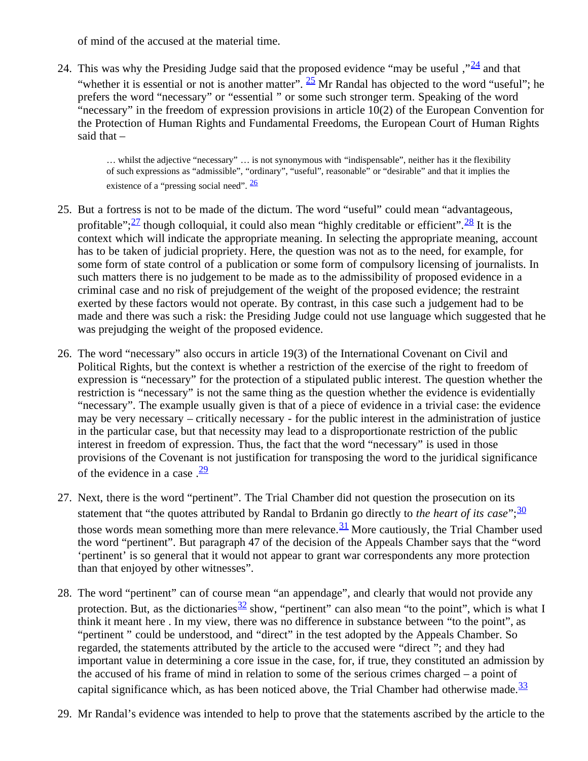of mind of the accused at the material time.

24. This was why the Presiding Judge said that the proposed evidence "may be useful  $\frac{24}{124}$  and that "whether it is essential or not is another matter".  $\frac{25}{1}$  Mr Randal has objected to the word "useful"; he prefers the word "necessary" or "essential " or some such stronger term. Speaking of the word "necessary" in the freedom of expression provisions in article 10(2) of the European Convention for the Protection of Human Rights and Fundamental Freedoms, the European Court of Human Rights said that –

… whilst the adjective "necessary" … is not synonymous with "indispensable", neither has it the flexibility of such expressions as "admissible", "ordinary", "useful", reasonable" or "desirable" and that it implies the existence of a "pressing social need".  $\frac{26}{3}$ 

- 25. But a fortress is not to be made of the dictum. The word "useful" could mean "advantageous, profitable"; $\frac{27}{2}$  though colloquial, it could also mean "highly creditable or efficient".  $\frac{28}{2}$  It is the context which will indicate the appropriate meaning. In selecting the appropriate meaning, account has to be taken of judicial propriety. Here, the question was not as to the need, for example, for some form of state control of a publication or some form of compulsory licensing of journalists. In such matters there is no judgement to be made as to the admissibility of proposed evidence in a criminal case and no risk of prejudgement of the weight of the proposed evidence; the restraint exerted by these factors would not operate. By contrast, in this case such a judgement had to be made and there was such a risk: the Presiding Judge could not use language which suggested that he was prejudging the weight of the proposed evidence.
- 26. The word "necessary" also occurs in article 19(3) of the International Covenant on Civil and Political Rights, but the context is whether a restriction of the exercise of the right to freedom of expression is "necessary" for the protection of a stipulated public interest. The question whether the restriction is "necessary" is not the same thing as the question whether the evidence is evidentially "necessary". The example usually given is that of a piece of evidence in a trivial case: the evidence may be very necessary – critically necessary - for the public interest in the administration of justice in the particular case, but that necessity may lead to a disproportionate restriction of the public interest in freedom of expression. Thus, the fact that the word "necessary" is used in those provisions of the Covenant is not justification for transposing the word to the juridical significance of the evidence in a case  $\frac{29}{2}$  $\frac{29}{2}$  $\frac{29}{2}$
- 27. Next, there is the word "pertinent". The Trial Chamber did not question the prosecution on its statement that "the quotes attributed by Randal to Brdanin go directly to *the heart of its case*";<sup>[30](#page-7-22)</sup> those words mean something more than mere relevance.  $\frac{31}{10}$  $\frac{31}{10}$  $\frac{31}{10}$  More cautiously, the Trial Chamber used the word "pertinent". But paragraph 47 of the decision of the Appeals Chamber says that the "word 'pertinent' is so general that it would not appear to grant war correspondents any more protection than that enjoyed by other witnesses".
- 28. The word "pertinent" can of course mean "an appendage", and clearly that would not provide any protection. But, as the dictionaries  $\frac{32}{2}$  show, "pertinent" can also mean "to the point", which is what I think it meant here . In my view, there was no difference in substance between "to the point", as "pertinent " could be understood, and "direct" in the test adopted by the Appeals Chamber. So regarded, the statements attributed by the article to the accused were "direct "; and they had important value in determining a core issue in the case, for, if true, they constituted an admission by the accused of his frame of mind in relation to some of the serious crimes charged – a point of capital significance which, as has been noticed above, the Trial Chamber had otherwise made. $\frac{33}{2}$  $\frac{33}{2}$  $\frac{33}{2}$
- 29. Mr Randal's evidence was intended to help to prove that the statements ascribed by the article to the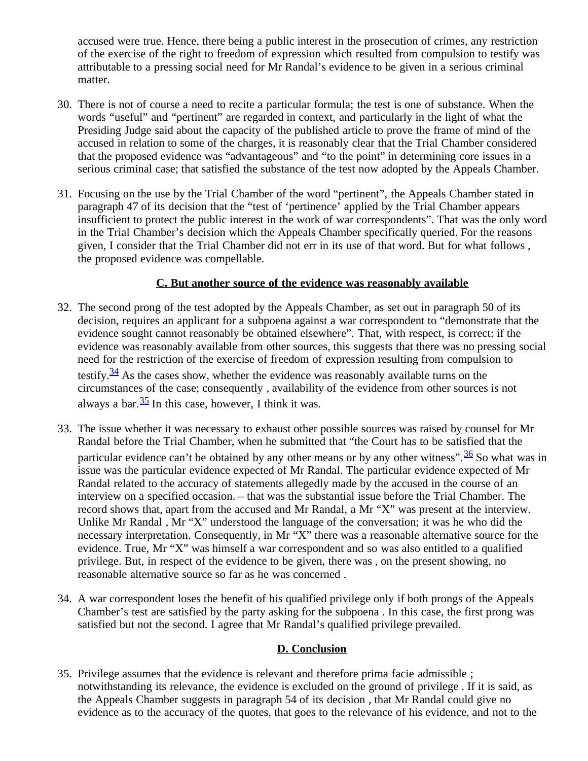accused were true. Hence, there being a public interest in the prosecution of crimes, any restriction of the exercise of the right to freedom of expression which resulted from compulsion to testify was attributable to a pressing social need for Mr Randal's evidence to be given in a serious criminal matter.

- 30. There is not of course a need to recite a particular formula; the test is one of substance. When the words "useful" and "pertinent" are regarded in context, and particularly in the light of what the Presiding Judge said about the capacity of the published article to prove the frame of mind of the accused in relation to some of the charges, it is reasonably clear that the Trial Chamber considered that the proposed evidence was "advantageous" and "to the point" in determining core issues in a serious criminal case; that satisfied the substance of the test now adopted by the Appeals Chamber.
- 31. Focusing on the use by the Trial Chamber of the word "pertinent", the Appeals Chamber stated in paragraph 47 of its decision that the "test of 'pertinence' applied by the Trial Chamber appears insufficient to protect the public interest in the work of war correspondents". That was the only word in the Trial Chamber's decision which the Appeals Chamber specifically queried. For the reasons given, I consider that the Trial Chamber did not err in its use of that word. But for what follows , the proposed evidence was compellable.

# **C. But another source of the evidence was reasonably available**

- 32. The second prong of the test adopted by the Appeals Chamber, as set out in paragraph 50 of its decision, requires an applicant for a subpoena against a war correspondent to "demonstrate that the evidence sought cannot reasonably be obtained elsewhere". That, with respect, is correct: if the evidence was reasonably available from other sources, this suggests that there was no pressing social need for the restriction of the exercise of freedom of expression resulting from compulsion to testify.  $\frac{34}{1}$  As the cases show, whether the evidence was reasonably available turns on the circumstances of the case; consequently , availability of the evidence from other sources is not always a bar. $\frac{35}{2}$  In this case, however. I think it was.
- 33. The issue whether it was necessary to exhaust other possible sources was raised by counsel for Mr Randal before the Trial Chamber, when he submitted that "the Court has to be satisfied that the particular evidence can't be obtained by any other means or by any other witness".  $\frac{36}{10}$  So what was in issue was the particular evidence expected of Mr Randal. The particular evidence expected of Mr Randal related to the accuracy of statements allegedly made by the accused in the course of an interview on a specified occasion. – that was the substantial issue before the Trial Chamber. The record shows that, apart from the accused and Mr Randal, a Mr "X" was present at the interview. Unlike Mr Randal , Mr "X" understood the language of the conversation; it was he who did the necessary interpretation. Consequently, in Mr "X" there was a reasonable alternative source for the evidence. True, Mr "X" was himself a war correspondent and so was also entitled to a qualified privilege. But, in respect of the evidence to be given, there was , on the present showing, no reasonable alternative source so far as he was concerned .
- 34. A war correspondent loses the benefit of his qualified privilege only if both prongs of the Appeals Chamber's test are satisfied by the party asking for the subpoena . In this case, the first prong was satisfied but not the second. I agree that Mr Randal's qualified privilege prevailed.

#### **D. Conclusion**

35. Privilege assumes that the evidence is relevant and therefore prima facie admissible ; notwithstanding its relevance, the evidence is excluded on the ground of privilege . If it is said, as the Appeals Chamber suggests in paragraph 54 of its decision , that Mr Randal could give no evidence as to the accuracy of the quotes, that goes to the relevance of his evidence, and not to the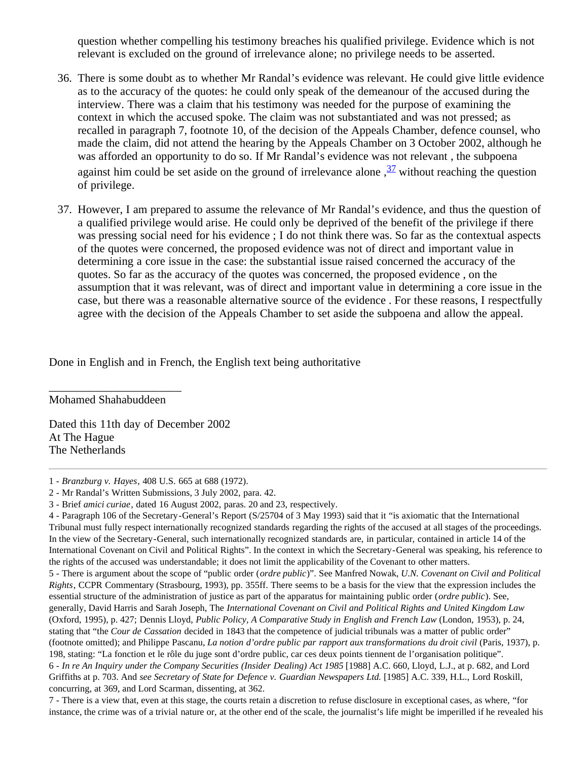question whether compelling his testimony breaches his qualified privilege. Evidence which is not relevant is excluded on the ground of irrelevance alone; no privilege needs to be asserted.

- 36. There is some doubt as to whether Mr Randal's evidence was relevant. He could give little evidence as to the accuracy of the quotes: he could only speak of the demeanour of the accused during the interview. There was a claim that his testimony was needed for the purpose of examining the context in which the accused spoke. The claim was not substantiated and was not pressed; as recalled in paragraph 7, footnote 10, of the decision of the Appeals Chamber, defence counsel, who made the claim, did not attend the hearing by the Appeals Chamber on 3 October 2002, although he was afforded an opportunity to do so. If Mr Randal's evidence was not relevant , the subpoena against him could be set aside on the ground of irrelevance alone  $\frac{37}{12}$  without reaching the question of privilege.
- 37. However, I am prepared to assume the relevance of Mr Randal's evidence, and thus the question of a qualified privilege would arise. He could only be deprived of the benefit of the privilege if there was pressing social need for his evidence ; I do not think there was. So far as the contextual aspects of the quotes were concerned, the proposed evidence was not of direct and important value in determining a core issue in the case: the substantial issue raised concerned the accuracy of the quotes. So far as the accuracy of the quotes was concerned, the proposed evidence , on the assumption that it was relevant, was of direct and important value in determining a core issue in the case, but there was a reasonable alternative source of the evidence . For these reasons, I respectfully agree with the decision of the Appeals Chamber to set aside the subpoena and allow the appeal.

Done in English and in French, the English text being authoritative

Mohamed Shahabuddeen

\_\_\_\_\_\_\_\_\_\_\_\_\_\_\_\_\_\_\_\_\_\_\_

Dated this 11th day of December 2002 At The Hague The Netherlands

<span id="page-6-0"></span><sup>1 -</sup> *Branzburg v. Hayes*, 408 U.S. 665 at 688 (1972).

<span id="page-6-1"></span><sup>2 -</sup> Mr Randal's Written Submissions, 3 July 2002, para. 42.

<sup>3 -</sup> Brief *amici curiae*, dated 16 August 2002, paras. 20 and 23, respectively.

<span id="page-6-3"></span><span id="page-6-2"></span><sup>4 -</sup> Paragraph 106 of the Secretary-General's Report (S/25704 of 3 May 1993) said that it "is axiomatic that the International Tribunal must fully respect internationally recognized standards regarding the rights of the accused at all stages of the proceedings. In the view of the Secretary-General, such internationally recognized standards are, in particular, contained in article 14 of the International Covenant on Civil and Political Rights". In the context in which the Secretary-General was speaking, his reference to the rights of the accused was understandable; it does not limit the applicability of the Covenant to other matters.

<span id="page-6-4"></span><sup>5 -</sup> There is argument about the scope of "public order (*ordre public*)". See Manfred Nowak, *U.N. Covenant on Civil and Political Rights*, CCPR Commentary (Strasbourg, 1993), pp. 355ff. There seems to be a basis for the view that the expression includes the essential structure of the administration of justice as part of the apparatus for maintaining public order (*ordre public*). See, generally, David Harris and Sarah Joseph, The *International Covenant on Civil and Political Rights and United Kingdom Law* (Oxford, 1995), p. 427; Dennis Lloyd, *Public Policy, A Comparative Study in English and French Law* (London, 1953), p. 24, stating that "the *Cour de Cassation* decided in 1843 that the competence of judicial tribunals was a matter of public order" (footnote omitted); and Philippe Pascanu, *La notion d'ordre public par rapport aux transformations du droit civil* (Paris, 1937), p. 198, stating: "La fonction et le rôle du juge sont d'ordre public, car ces deux points tiennent de l'organisation politique". 6 - *In re An Inquiry under the Company Securities (Insider Dealing) Act 1985* [1988] A.C. 660, Lloyd, L.J., at p. 682, and Lord Griffiths at p. 703. And *see Secretary of State for Defence v. Guardian Newspapers Ltd.* [1985] A.C. 339, H.L., Lord Roskill, concurring, at 369, and Lord Scarman, dissenting, at 362.

<span id="page-6-6"></span><span id="page-6-5"></span><sup>7 -</sup> There is a view that, even at this stage, the courts retain a discretion to refuse disclosure in exceptional cases, as where, "for instance, the crime was of a trivial nature or, at the other end of the scale, the journalist's life might be imperilled if he revealed his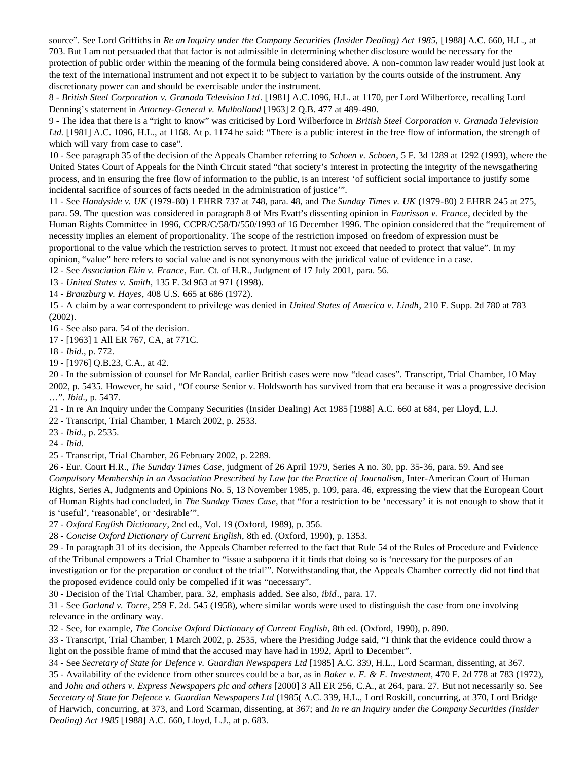source". See Lord Griffiths in *Re an Inquiry under the Company Securities (Insider Dealing) Act 1985*, [1988] A.C. 660, H.L., at 703. But I am not persuaded that that factor is not admissible in determining whether disclosure would be necessary for the protection of public order within the meaning of the formula being considered above. A non-common law reader would just look at the text of the international instrument and not expect it to be subject to variation by the courts outside of the instrument. Any discretionary power can and should be exercisable under the instrument.

<span id="page-7-0"></span>8 - *British Steel Corporation v. Granada Television Ltd*. [1981] A.C.1096, H.L. at 1170, per Lord Wilberforce, recalling Lord Denning's statement in *Attorney-General v. Mulholland* [1963] 2 Q.B. 477 at 489-490.

<span id="page-7-1"></span>9 - The idea that there is a "right to know" was criticised by Lord Wilberforce in *British Steel Corporation v. Granada Television Ltd.* [1981] A.C. 1096, H.L., at 1168. At p. 1174 he said: "There is a public interest in the free flow of information, the strength of which will vary from case to case".

<span id="page-7-2"></span>10 - See paragraph 35 of the decision of the Appeals Chamber referring to *Schoen v. Schoen*, 5 F. 3d 1289 at 1292 (1993), where the United States Court of Appeals for the Ninth Circuit stated "that society's interest in protecting the integrity of the newsgathering process, and in ensuring the free flow of information to the public, is an interest 'of sufficient social importance to justify some incidental sacrifice of sources of facts needed in the administration of justice'".

<span id="page-7-3"></span>11 - See *Handyside v. UK* (1979-80) 1 EHRR 737 at 748, para. 48, and *The Sunday Times v. UK* (1979-80) 2 EHRR 245 at 275, para. 59. The question was considered in paragraph 8 of Mrs Evatt's dissenting opinion in *Faurisson v. France*, decided by the Human Rights Committee in 1996, CCPR/C/58/D/550/1993 of 16 December 1996. The opinion considered that the "requirement of necessity implies an element of proportionality. The scope of the restriction imposed on freedom of expression must be proportional to the value which the restriction serves to protect. It must not exceed that needed to protect that value". In my opinion, "value" here refers to social value and is not synonymous with the juridical value of evidence in a case.

<span id="page-7-4"></span>12 - See *Association Ekin v. France*, Eur. Ct. of H.R., Judgment of 17 July 2001, para. 56.

<span id="page-7-5"></span>13 - *United States v. Smith*, 135 F. 3d 963 at 971 (1998).

<span id="page-7-6"></span>14 - *Branzburg v. Hayes*, 408 U.S. 665 at 686 (1972).

<span id="page-7-7"></span>15 - A claim by a war correspondent to privilege was denied in *United States of America v. Lindh*, 210 F. Supp. 2d 780 at 783 (2002).

<span id="page-7-8"></span>16 - See also para. 54 of the decision.

<span id="page-7-9"></span>17 - [1963] 1 All ER 767, CA, at 771C.

<span id="page-7-10"></span>18 - *Ibid*., p. 772.

<span id="page-7-11"></span>19 - [1976] Q.B.23, C.A., at 42.

<span id="page-7-12"></span>20 - In the submission of counsel for Mr Randal, earlier British cases were now "dead cases". Transcript, Trial Chamber, 10 May 2002, p. 5435. However, he said , "Of course Senior v. Holdsworth has survived from that era because it was a progressive decision …". *Ibid*., p. 5437.

<span id="page-7-13"></span>21 - In re An Inquiry under the Company Securities (Insider Dealing) Act 1985 [1988] A.C. 660 at 684, per Lloyd, L.J.

<span id="page-7-14"></span>22 - Transcript, Trial Chamber, 1 March 2002, p. 2533.

<span id="page-7-15"></span>23 - *Ibid*., p. 2535.

<span id="page-7-16"></span>24 - *Ibid*.

<span id="page-7-17"></span>25 - Transcript, Trial Chamber, 26 February 2002, p. 2289.

<span id="page-7-18"></span>26 - Eur. Court H.R., *The Sunday Times Case*, judgment of 26 April 1979, Series A no. 30, pp. 35-36, para. 59. And see *Compulsory Membership in an Association Prescribed by Law for the Practice of Journalism,* Inter-American Court of Human Rights, Series A, Judgments and Opinions No. 5, 13 November 1985, p. 109, para. 46, expressing the view that the European Court of Human Rights had concluded, in *The Sunday Times Case*, that "for a restriction to be 'necessary' it is not enough to show that it is 'useful', 'reasonable', or 'desirable'".

<span id="page-7-19"></span>27 - *Oxford English Dictionary*, 2nd ed., Vol. 19 (Oxford, 1989), p. 356.

<span id="page-7-20"></span>28 - *Concise Oxford Dictionary of Current English*, 8th ed. (Oxford, 1990), p. 1353.

<span id="page-7-21"></span>29 - In paragraph 31 of its decision, the Appeals Chamber referred to the fact that Rule 54 of the Rules of Procedure and Evidence of the Tribunal empowers a Trial Chamber to "issue a subpoena if it finds that doing so is 'necessary for the purposes of an investigation or for the preparation or conduct of the trial'". Notwithstanding that, the Appeals Chamber correctly did not find that the proposed evidence could only be compelled if it was "necessary".

<span id="page-7-22"></span>30 - Decision of the Trial Chamber, para. 32, emphasis added. See also, *ibid*., para. 17.

<span id="page-7-23"></span>31 - See *Garland v. Torre*, 259 F. 2d. 545 (1958), where similar words were used to distinguish the case from one involving relevance in the ordinary way.

<span id="page-7-24"></span>32 - See, for example, *The Concise Oxford Dictionary of Current English*, 8th ed. (Oxford, 1990), p. 890.

<span id="page-7-25"></span>33 - Transcript, Trial Chamber, 1 March 2002, p. 2535, where the Presiding Judge said, "I think that the evidence could throw a light on the possible frame of mind that the accused may have had in 1992, April to December".

<span id="page-7-27"></span><span id="page-7-26"></span>34 - See *Secretary of State for Defence v. Guardian Newspapers Ltd* [1985] A.C. 339, H.L., Lord Scarman, dissenting, at 367. 35 - Availability of the evidence from other sources could be a bar, as in *Baker v. F. & F. Investment,* 470 F. 2d 778 at 783 (1972), and *John and others v. Express Newspapers plc and others* [2000] 3 All ER 256, C.A., at 264, para. 27. But not necessarily so. See *Secretary of State for Defence v. Guardian Newspapers Ltd* (1985( A.C. 339, H.L., Lord Roskill, concurring, at 370, Lord Bridge of Harwich, concurring, at 373, and Lord Scarman, dissenting, at 367; and *In re an Inquiry under the Company Securities (Insider Dealing) Act 1985* [1988] A.C. 660, Lloyd, L.J., at p. 683.